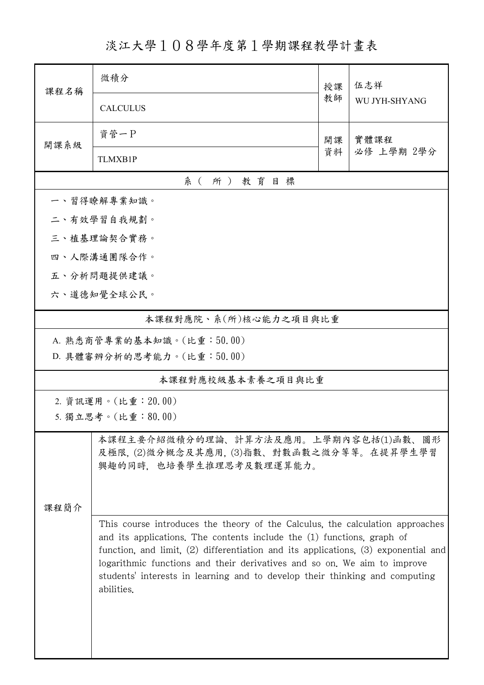淡江大學108學年度第1學期課程教學計畫表

| 课程名稱                                                                                                         | 微積分                                                                                                                                                                                                                                                                                                                                                                                                                                | 授課         | 伍志祥<br>WU JYH-SHYANG |  |  |
|--------------------------------------------------------------------------------------------------------------|------------------------------------------------------------------------------------------------------------------------------------------------------------------------------------------------------------------------------------------------------------------------------------------------------------------------------------------------------------------------------------------------------------------------------------|------------|----------------------|--|--|
|                                                                                                              | <b>CALCULUS</b>                                                                                                                                                                                                                                                                                                                                                                                                                    | 教師         |                      |  |  |
| 開課系級                                                                                                         | 資管一P                                                                                                                                                                                                                                                                                                                                                                                                                               | 實體課程<br>開課 |                      |  |  |
|                                                                                                              | <b>TLMXB1P</b>                                                                                                                                                                                                                                                                                                                                                                                                                     | 資料         | 必修 上學期 2學分           |  |  |
| 系(所)教育目標                                                                                                     |                                                                                                                                                                                                                                                                                                                                                                                                                                    |            |                      |  |  |
|                                                                                                              | 一、習得瞭解專業知識。                                                                                                                                                                                                                                                                                                                                                                                                                        |            |                      |  |  |
|                                                                                                              | 二、有效學習自我規劃。                                                                                                                                                                                                                                                                                                                                                                                                                        |            |                      |  |  |
|                                                                                                              | 三、植基理論契合實務。                                                                                                                                                                                                                                                                                                                                                                                                                        |            |                      |  |  |
|                                                                                                              | 四、人際溝通團隊合作。                                                                                                                                                                                                                                                                                                                                                                                                                        |            |                      |  |  |
|                                                                                                              | 五、分析問題提供建議。                                                                                                                                                                                                                                                                                                                                                                                                                        |            |                      |  |  |
|                                                                                                              | 六、道德知覺全球公民。                                                                                                                                                                                                                                                                                                                                                                                                                        |            |                      |  |  |
|                                                                                                              | 本課程對應院、系(所)核心能力之項目與比重                                                                                                                                                                                                                                                                                                                                                                                                              |            |                      |  |  |
| A. 熟悉商管專業的基本知識。(比重:50.00)                                                                                    |                                                                                                                                                                                                                                                                                                                                                                                                                                    |            |                      |  |  |
|                                                                                                              | D. 具體審辨分析的思考能力。(比重:50.00)                                                                                                                                                                                                                                                                                                                                                                                                          |            |                      |  |  |
| 本課程對應校級基本素養之項目與比重                                                                                            |                                                                                                                                                                                                                                                                                                                                                                                                                                    |            |                      |  |  |
|                                                                                                              | 2. 資訊運用。(比重: 20.00)                                                                                                                                                                                                                                                                                                                                                                                                                |            |                      |  |  |
|                                                                                                              | 5. 獨立思考。(比重:80.00)                                                                                                                                                                                                                                                                                                                                                                                                                 |            |                      |  |  |
| 本課程主要介紹微積分的理論、計算方法及應用。上學期內容包括(1)函數、圖形<br>及極限,(2)微分概念及其應用,(3)指數、對數函數之微分等等。在提昇學生學習<br>興趣的同時, 也培養學生推理思考及數理運算能力。 |                                                                                                                                                                                                                                                                                                                                                                                                                                    |            |                      |  |  |
|                                                                                                              | 课程简介<br>This course introduces the theory of the Calculus, the calculation approaches<br>and its applications. The contents include the (1) functions, graph of<br>function, and limit, $(2)$ differentiation and its applications, $(3)$ exponential and<br>logarithmic functions and their derivatives and so on. We aim to improve<br>students' interests in learning and to develop their thinking and computing<br>abilities. |            |                      |  |  |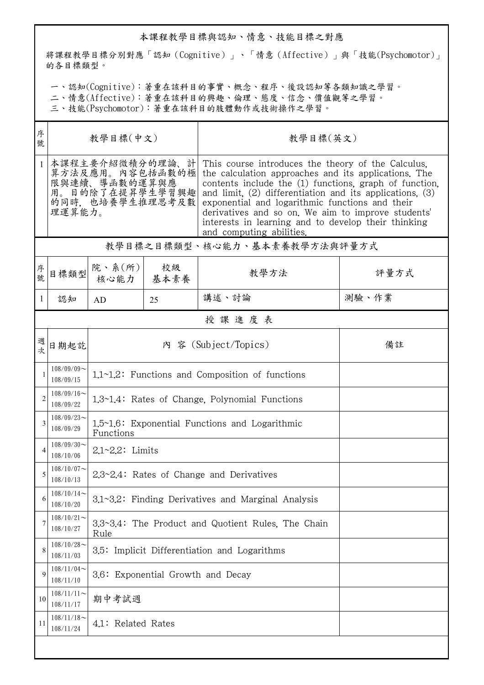## 本課程教學目標與認知、情意、技能目標之對應

將課程教學目標分別對應「認知(Cognitive)」、「情意(Affective)」與「技能(Psychomotor)」 的各目標類型。

一、認知(Cognitive):著重在該科目的事實、概念、程序、後設認知等各類知識之學習。

二、情意(Affective):著重在該科目的興趣、倫理、態度、信念、價值觀等之學習。

三、技能(Psychomotor):著重在該科目的肢體動作或技術操作之學習。

| 序<br>號       | 教學目標(中文)                                                                                              |                                                             |    | 教學目標(英文)                                                                                                                                                                                                                                                                                                                                                                                                                         |       |  |  |
|--------------|-------------------------------------------------------------------------------------------------------|-------------------------------------------------------------|----|----------------------------------------------------------------------------------------------------------------------------------------------------------------------------------------------------------------------------------------------------------------------------------------------------------------------------------------------------------------------------------------------------------------------------------|-------|--|--|
| $\mathbf{1}$ | 本課程主要介紹微積分的理論、計<br>算方法及應用。內容包括函數的極<br>限與連續、導函數的運算與應<br>用。目的除了在提昇學生學習興趣 <br>的同時, 也培養學生推理思考及數<br>理運算能力。 |                                                             |    | This course introduces the theory of the Calculus.<br>the calculation approaches and its applications. The<br>contents include the (1) functions, graph of function,<br>and limit, $(2)$ differentiation and its applications, $(3)$<br>exponential and logarithmic functions and their<br>derivatives and so on. We aim to improve students'<br>interests in learning and to develop their thinking<br>and computing abilities. |       |  |  |
|              | 教學目標之目標類型、核心能力、基本素養教學方法與評量方式                                                                          |                                                             |    |                                                                                                                                                                                                                                                                                                                                                                                                                                  |       |  |  |
| 序號           | 目標類型                                                                                                  | 院、系 $(\hbox{\tt \ffm{\small\it m}})$<br>核心能力 基本素養           | 校級 | 教學方法                                                                                                                                                                                                                                                                                                                                                                                                                             | 評量方式  |  |  |
| 1            | 認知                                                                                                    | AD                                                          | 25 | 講述、討論                                                                                                                                                                                                                                                                                                                                                                                                                            | 測驗、作業 |  |  |
|              |                                                                                                       |                                                             |    | 授課進度表                                                                                                                                                                                                                                                                                                                                                                                                                            |       |  |  |
| 週次           | 日期起訖                                                                                                  |                                                             |    | 內 容 (Subject/Topics)                                                                                                                                                                                                                                                                                                                                                                                                             | 備註    |  |  |
| 1            | $108/09/09$ ~<br>108/09/15                                                                            | 1.1~1.2: Functions and Composition of functions             |    |                                                                                                                                                                                                                                                                                                                                                                                                                                  |       |  |  |
| 2            | $108/09/16$ ~<br>108/09/22                                                                            | 1.3~1.4: Rates of Change, Polynomial Functions              |    |                                                                                                                                                                                                                                                                                                                                                                                                                                  |       |  |  |
| 3            | $108/09/23$ ~<br>108/09/29                                                                            | 1.5~1.6: Exponential Functions and Logarithmic<br>Functions |    |                                                                                                                                                                                                                                                                                                                                                                                                                                  |       |  |  |
| 4            | $108/09/30$ ~<br>108/10/06                                                                            | $2.1 - 2.2$ : Limits                                        |    |                                                                                                                                                                                                                                                                                                                                                                                                                                  |       |  |  |
| 5            | $108/10/07$ ~<br>108/10/13                                                                            | $2.3 \sim 2.4$ : Rates of Change and Derivatives            |    |                                                                                                                                                                                                                                                                                                                                                                                                                                  |       |  |  |
| 6            | $108/10/14$ ~<br>108/10/20                                                                            | 3.1~3.2: Finding Derivatives and Marginal Analysis          |    |                                                                                                                                                                                                                                                                                                                                                                                                                                  |       |  |  |
| 7            | $108/10/21$ ~<br>108/10/27                                                                            | 3.3~3.4: The Product and Quotient Rules, The Chain<br>Rule  |    |                                                                                                                                                                                                                                                                                                                                                                                                                                  |       |  |  |
| 8            | $108/10/28$ ~<br>108/11/03                                                                            | 3.5: Implicit Differentiation and Logarithms                |    |                                                                                                                                                                                                                                                                                                                                                                                                                                  |       |  |  |
| 9            | $108/11/04$ ~<br>108/11/10                                                                            | 3.6: Exponential Growth and Decay                           |    |                                                                                                                                                                                                                                                                                                                                                                                                                                  |       |  |  |
| 10           | $108/11/11$ ~<br>108/11/17                                                                            | 期中考試週                                                       |    |                                                                                                                                                                                                                                                                                                                                                                                                                                  |       |  |  |
| 11           | $108/11/18$ ~<br>108/11/24                                                                            | 4.1: Related Rates                                          |    |                                                                                                                                                                                                                                                                                                                                                                                                                                  |       |  |  |
|              |                                                                                                       |                                                             |    |                                                                                                                                                                                                                                                                                                                                                                                                                                  |       |  |  |